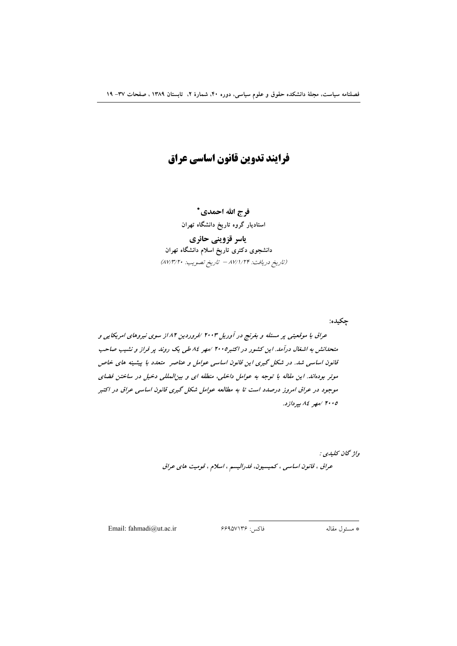فرايند تدوين قانون اساسي عراق

فرج الله احمدي\* استادیار گروه تاریخ دانشگاه تهران

ياسر قزويني حائري دانشجوی دکتری تاریخ اسلام دانشگاه تهران (تاريخ دريافت: ٨٧/١/٢۴ - تاريخ تصويب: ٨٧/٣/٢٠)

چکیده:

عراق با موقعیتی پر مسئله و بغرنج در آوریل ۲۰۰۳ /فروردین ۸۲/ز سوی نیروهای امریکایی و متحدانش به اشغال درآمد. این کشور در اکتبر۲۰۰۵ /مهر ۸٤ طی یک روند پر فراز و نشیب صاحب قانون اساسی شد. در شکل گیری این قانون اساسی عوامل و عناصر متعدد با پیشینه های خاص موئر بودهاند. این مقاله با توجه به عوامل داخلی، منطقه ای و بینالمللی دخیل در ساختن فضای موجود در عراق امروز درصدد است تا به مطالعه عوامل شکل گیری قانون اساسی عراق در اکتبر ۲۰۰۵ /مهر ۸٤ بپردازد.

> واژ گان كليدي : عراق ، قانون اساسی ، کمیسیون، فدرالیسم ، اسلام ، قومیت های عراق

Email: fahmadi@ut.ac.ir

فاكس: ۶۶۹۵۷۱۳۶

\* مسئول مقاله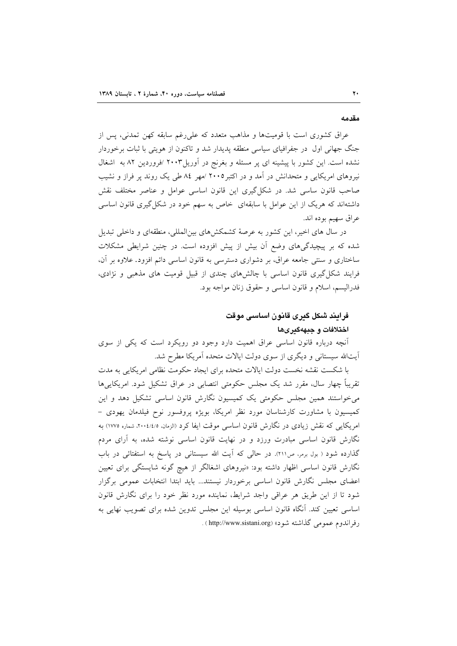#### مقدمه

عراق کشوری است با قومیتها و مذاهب متعدد که علی رغم سابقه کهن تمدنی، پس از جنگ جهانی اول در جفرافیای سیاسی منطقه پدیدار شد و تاکنون از هویتی با ثبات برخوردار نشده است. این کشور با پیشینه ای پر مسئله و بغرنج در آوریل۲۰۰۳ /فروردین ۸۲ به اشغال نیروهای امریکایی و متحدانش در آمد و در اکتبر۲۰۰۵ /مهر ۸٤ طی یک روند پر فراز و نشیب صاحب قانون ساسی شد. در شکل گیری این قانون اساسی عوامل و عناصر مختلف نقش داشتهاند که هریک از این عوامل با سابقهای خاص به سهم خود در شکل گیری قانون اساسی عراق سهيم بوده اند.

در سال های اخیر، این کشور به عرصهٔ کشمکشهای بین|لمللی، منطقهای و داخلی تبدیل شده که بر پیچیدگیهای وضع آن بیش از پیش افزوده است. در چنین شرایطی مشکلات ساختاری و سنتی جامعه عراق، بر دشواری دسترسی به قانون اساسی دائم افزود. علاوه بر آن، فرایند شکل گیری قانون اساسی با چالش های چندی از قبیل قومیت های مذهبی و نژادی، فدراليسم، اسلام و قانون اساسي و حقوق زنان مواجه بود.

# فرایند شکل گیری قانون اساسی موقت اختلافات و جبههگیریها

آنچه درباره قانون اساسی عراق اهمیت دارد وجود دو رویکرد است که یکی از سوی آیتالله سیستانی و دیگری از سوی دولت ایالات متحده آمریکا مطرح شد.

با شکست نقشه نخست دولت ایالات متحده برای ایجاد حکومت نظامی امریکایی به مدت تقریباً چهار سال، مقرر شد یک مجلس حکومتی انتصابی در عراق تشکیل شود. امریکاییها میخواستند همین مجلس حکومتی یک کمیسیون نگارش قانون اساسی تشکیل دهد و این کمیسیون با مشاورت کارشناسان مورد نظر امریکا، بویژه پروفسور نوح فیلدمان یهودی -امریکایی که نقش زیادی در نگارش قانون اساسی موقت ایفا کرد (الزمان، ۲۰۰٤/٤/٥، شماره ۱۷۷۵) به نگارش قانون اساسی مبادرت ورزد و در نهایت قانون اساسی نوشته شده، به آرای مردم گذارده شود ( بول برمر، ص٢١١). در حالي كه آيت الله سيستاني در پاسخ به استفتائي در باب نگارش قانون اساسی اظهار داشته بود: «نیروهای اشغالگر از هیچ گونه شایستگی برای تعیین اعضای مجلس نگارش قانون اساسی برخوردار نیستند... باید ابتدا انتخابات عمومی برگزار شود تا از این طریق هر عراقبی واجد شرایط، نماینده مورد نظر خود را برای نگارش قانون اساسی تعیین کند. آنگاه قانون اساسی بوسیله این مجلس تدوین شده برای تصویب نهایی به رفراندوم عمومي گذاشته شود» (http://www.sistani.org ) .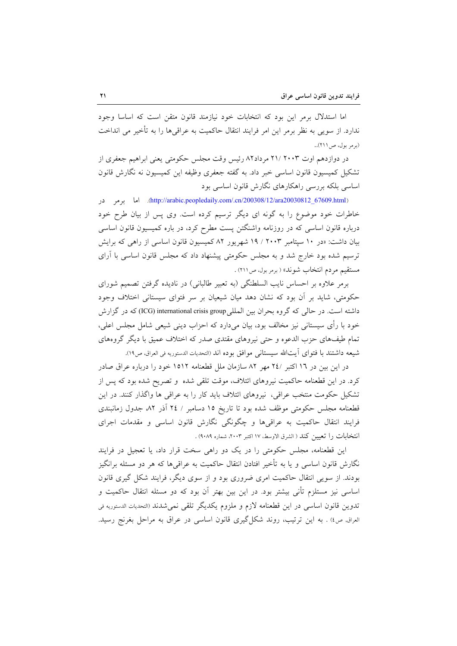اما استدلال برمر این بود که انتخابات خود نیازمند قانون متقن است که اساسا وجود ندارد. از سویی به نظر برمر این امر فرایند انتقال حاکمیت به عراقی ها را به تأخیر می انداخت (برمر بول، ص ٢١١)..

در دوازدهم اوت ۲۰۰۳ /۲۱ مرداد۸۲ رئیس وقت مجلس حکومتی یعنی ابراهیم جعفری از تشکیل کمیسیون قانون اساسی خبر داد. به گفته جعفری وظیفه این کمیسیون نه نگارش قانون اساسی بلکه بررسی راهکارهای نگارش قانون اساسی بود

(http://arabic.peopledaily.com/.cn/200308/12/ara20030812\_67609.html). اما برمر در خاطرات خود موضوع را به گونه ای دیگر ترسیم کرده است. وی پس از بیان طرح خود درباره قانون اساسی که در روزنامه واشنگتن پست مطرح کرد، در باره کمیسیون قانون اساسی بیان داشت: «در ۱۰ سپتامبر ۲۰۰۳ / ۱۹ شهریور ۸۲ کمیسیون قانون اساسی از راهی که برایش ترسیم شده بود خارج شد و به مجلس حکومتی پیشنهاد داد که مجلس قانون اساسی با آرای مستقيم مردم انتخاب شوند» ( برمر بول، ص(٢١١) .

برمر علاوه بر احساس نایب السلطنگی (به تعبیر طالبانی) در نادیده گرفتن تصمیم شورای حکومتی، شاید بر آن بود که نشان دهد میان شیعیان بر سر فتوای سیستانی اختلاف وجود داشته است. در حالي كه گروه بحران بين الملليgroup (ICG) international crisis group) كه در گزارش خود با رأى سيستاني نيز مخالف بود، بيان ميدارد كه احزاب ديني شيعي شامل مجلس اعلي، تمام طیفهای حزب الدعوه و حتی نیروهای مقتدی صدر که اختلاف عمیق با دیگر گروههای شيعه داشتند با فتواى آيتالله سيستاني موافق بوده اند (التحديات الدستوريه في العراق، ص١٩).

در این بین در ۱۲ اکتبر /۲٤ مهر ۸۲ سازمان ملل قطعنامه ۱۵۱۲ خود را درباره عراق صادر کرد. در این قطعنامه حاکمیت نیروهای ائتلاف، موقت تلقی شده و تصریح شده بود که پس از تشکیل حکومت منتخب عراقی، نیروهای ائتلاف باید کار را به عراقی ها واگذار کنند. در این قطعنامه مجلس حکومتی موظف شده بود تا تاریخ ۱۵ دسامبر / ۲٤ آذر ۸۲ جدول زمانبندی فرایند انتقال حاکمیت به عراقبیها و چگونگی نگارش قانون اساسی و مقدمات اجرای انتخابات را تعيين كند ( الشرق الاوسط، ١٧ اكتبر ٢٠٠٣، شماره ٩٠٨٩) .

این قطعنامه، مجلس حکومتی را در یک دو راهی سخت قرار داد، یا تعجیل در فرایند نگارش قانون اساسی و یا به تأخیر افتادن انتقال حاکمیت به عراقیها که هر دو مسئله برانگیز بودند. از سویی انتقال حاکمیت امری ضروری بود و از سوی دیگر، فرایند شکل گیری قانون اساسی نیز مستلزم تأنی بیشتر بود. در این بین بهتر آن بود که دو مسئله انتقال حاکمیت و تدوین قانون اساسی در این قطعنامه لازم و ملزوم یکدیگر تلقی نمیشدند (التحدیات الدستوریه فی العراق, ص٤) . به اين ترتيب، روند شكل گيري قانون اساسي در عراق به مراحل بغرنج رسيد.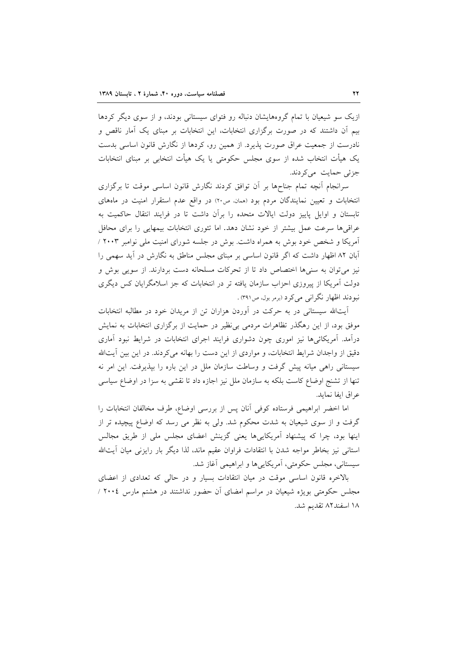ازیک سو شیعیان با تمام گروههایشان دنباله رو فتوای سیستانی بودند، و از سوی دیگر کردها بیم اّن داشتند که در صورت برگزاری انتخابات، این انتخابات بر مبنای یک اّمار ناقص و نادرست از جمعیت عراق صورت پذیرد. از همین رو، کردها از نگارش قانون اساسی بدست یک هیأت انتخاب شده از سوی مجلس حکومتی یا یک هیأت انتخابی بر مبنای انتخابات جزئی حمایت می کردند.

سرانجام أنچه تمام جناحها بر أن توافق كردند نگارش قانون اساسى موقت تا برگزارى انتخابات و تعیین نمایندگان مردم بود (ممان ص۲۰) در واقع عدم استقرار امنیت در ماههای تابستان و اوایل پاییز دولت اپالات متحده را برآن داشت تا در فرایند انتقال حاکمیت به عراقی ها سرعت عمل بیشتر از خود نشان دهد. اما تئوری انتخابات بیمهایی را برای محافل آمریکا و شخص خود بوش به همراه داشت. بوش در جلسه شورای امنیت ملی نوامبر ۲۰۰۳ / آبان ۸۲ اظهار داشت که اگر قانون اساسی بر مبنای مجلس مناطق به نگارش در آید سهمی را نیز میتوان به سنیها اختصاص داد تا از تحرکات مسلحانه دست بردارند. از سویی بوش و دولت آمریکا از پیروزی احزاب سازمان یافته تر در انتخابات که جز اسلامگرایان کس دیگری نبودند اظهار نگرانبي مي كرد (برمر بول، ص٣٩١) .

آیتالله سیستانی در به حرکت در آوردن هزاران تن از مریدان خود در مطالبه انتخابات موفق بود، از این رهگذر تظاهرات مردمی بی نظیر در حمایت از برگزاری انتخابات به نمایش درآمد. آمریکائیها نیز اموری چون دشواری فرایند اجرای انتخابات در شرایط نبود آماری دقیق از واجدان شرایط انتخابات، و مواردی از این دست را بهانه میکردند. در این بین آیتالله سیستانی راهی میانه پیش گرفت و وساطت سازمان ملل در این باره را بیذیرفت. این امر نه تنها از تشنج اوضاع كاست بلكه به سازمان ملل نيز اجازه داد تا نقشى به سزا در اوضاع سياسى عراق ايفا نمايد.

اما اخضر ابراهیمی فرستاده کوفی آنان پس از بررسی اوضاع، طرف مخالفان انتخابات را گرفت و از سوی شیعیان به شدت محکوم شد. ولی به نظر می رسد که اوضاع پیچیده تر از اینها بود، چرا که پیشنهاد آمریکاییها یعنی گزینش اعضای مجلس ملی از طریق مجالس استانی نیز بخاطر مواجه شدن با انتقادات فراوان عقیم ماند، لذا دیگر بار رایزنی میان آیتالله سيستاني، مجلس حكومتي، آمريكايي ها و ابراهيمي آغاز شد.

بالاخره قانون اساسی موقت در میان انتقادات بسیار و در حالی که تعدادی از اعضای مجلس حکومتی بویژه شیعیان در مراسم امضای آن حضور نداشتند در هشتم مارس ۲۰۰٤ / ١٨ اسفند٨٢ تقديم شد.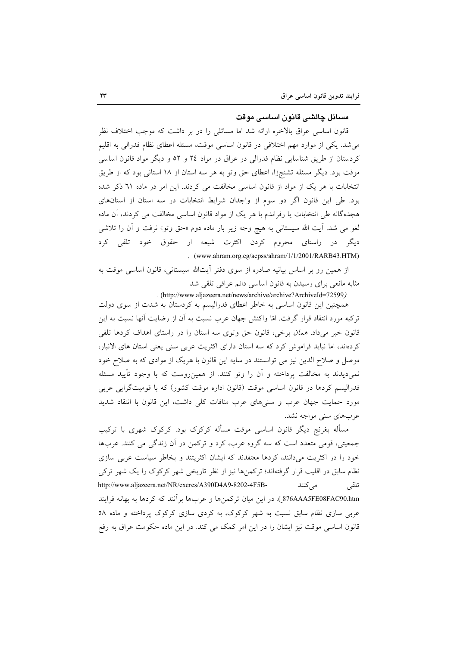## مسائل چالشي قانون اساسي موقت

قانون اساسی عراق بالاخره ارائه شد اما مسائلی را در بر داشت که موجب اختلاف نظر میشد. یکی از موارد مهم اختلافی در قانون اساسی موقت، مسئله اعطای نظام فدرالی به اقلیم کردستان از طریق شناسایی نظام فدرالی در عراق در مواد ۲٤ و ٥٢ و دیگر مواد قانون اساسی موقت بود. دیگر مسئله تشنجزا، اعطای حق وتو به هر سه استان از ۱۸ استانی بود که از طریق انتخابات با هر یک از مواد از قانون اساسی مخالفت می کردند. این امر در ماده ٦١ ذکر شده بود. طی این قانون اگر دو سوم از واجدان شرایط انتخابات در سه استان از استانهای هجدهگانه طی انتخابات یا رفراندم با هر یک از مواد قانون اساسی مخالفت می کردند، آن ماده لغو می شد. آیت الله سیستانی به هیچ وجه زیر بار ماده دوم «حق وتو» نرفت و آن را تلاشی دیگر در راستای محروم کردن اکثرت شیعه از حقوق خود تلقی کرد . (www.ahram.org.eg/acpss/ahram/1/1/2001/RARB43.HTM)

از همین رو بر اساس بیانیه صادره از سوی دفتر آیتالله سیستانی، قانون اساسی موقت به مثابه مانعی برای رسیدن به قانون اساسی دائم عراقبی تلقی شد

. (http://www.aljazeera.net/news/archive/archive?ArchiveId=72599)

همچنین این قانون اساسی به خاطر اعطای فدرالیسم به کردستان به شدت از سوی دولت ترکیه مورد انتقاد قرار گرفت. امّا واکنش جهان عرب نسبت به آن از رضایت آنها نسبت به این قانون خبر میداد. *همان برخی، قانون حق وتوی سه استان را در راستای اهداف کردها تلقی* کردهاند، اما نباید فراموش کرد که سه استان دارای اکثریت عربی سنی یعنی استان های الانبار، موصل و صلاح الدین نیز می توانستند در سایه این قانون با هریک از موادی که به صلاح خود نمی،دیدند به مخالفت پرداخته و آن را وتو کنند. از همین٫روست که با وجود تأیید مسئله فدرالیسم کردها در قانون اساسی موقت (قانون اداره موقت کشور) که با قومیتگرایی عربی مورد حمایت جهان عرب و سنیهای عرب منافات کلی داشت، این قانون با انتقاد شدید عربهای سنی مواجه نشد.

مسأله بغرنج دیگر قانون اساسی موقت مسأله کرکوک بود. کرکوک شهری با ترکیب جمعیتی، قومی متعدد است که سه گروه عرب، کرد و ترکمن در آن زندگی می کنند. عربها خود را در اکثریت می(دانند، کردها معتقدند که ایشان اکثریتند و بخاطر سیاست عربی سازی نظام سابق در اقلیت قرار گرفتهاند؛ ترکمنها نیز از نظر تاریخی شهر کرکوک را یک شهر ترکی http://www.aljazeera.net/NR/exeres/A390D4A9-8202-4F5B-مے کنند تلقى 876AAA5FE08FAC90.htm ). در این میان ترکمنها و عربها برآنند که کردها به بهانه فرایند عربی سازی نظام سابق نسبت به شهر کرکوک، به کردی سازی کرکوک پرداخته و ماده ۵۸ قانون اساسی موقت نیز ایشان را در این امر کمک می کند. در این ماده حکومت عراق به رفع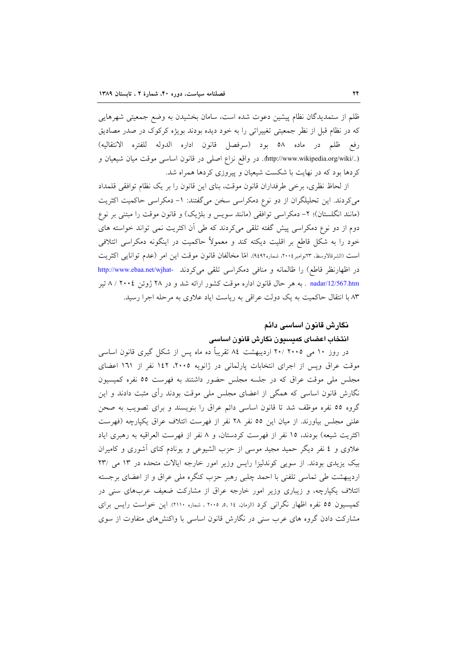ظلم از ستمدیدگان نظام پیشین دعوت شده است، سامان بخشیدن به وضع جمعیتی شهرهایی که در نظام قبل از نظر جمعیتی تغییراتی را به خود دیده بودند بویژه کرکوک در صدر مصادیق رفع ظلم در ماده ٥٨ بود (سرفصل قانون اداره الدوله للفتره الانتقاليه) (../http://www.wikipedia.org/wiki). در واقع نزاع اصلی در قانون اساسی موقت میان شیعیان و کردها بود که در نهایت با شکست شیعیان و پیروزی کردها همراه شد.

از لحاظ نظري، برخي طرفداران قانون موقت، بناي اين قانون را بر يک نظام توافقي قلمداد می کردند. این تحلیلگران از دو نوع دمکراسی سخن می گفتند: ١- دمکراسی حاکمیت اکثریت (مانند انگلستان)؛ ٢- دمكراسي توافقي (مانند سويس و بلژيك) و قانون موقت را مبتني بر نوع دوم از دو نوع دمکراسی پیش گفته تلقی میکردند که طی آن اکثریت نمی تواند خواسته های خود را به شکل قاطع بر اقلیت دیکته کند و معمولاً حاکمیت در اینگونه دمکراسی ائتلافی است (الشرقالاوسط، ٣٣نوامبر ٢٠٠٤، شماره٩٤٩٢). امّا مخالفان قانون موقت اين امر (عدم توانايي اكثريت در اظهارنظر قاطع) را ظالمانه و منافی دمکراسی تلقی میکردند -http://www.ebaa.net/wjhat nadar/12/567.htm . به هر حال قانون اداره موقت کشور ارائه شد و در ۲۸ ژوئن ۲۰۰٤ / ۸ تیر ۸۳ با انتقال حاکمیت به یک دولت عراقبی به ریاست ایاد علاوی به مرحله اجرا رسید.

## نگارش قانون اساسی دائم

## انتخاب اعضاى كميسيون نگارش قانون اساسى

در روز ۱۰ می ۲۰۰۵ /۲۰ اردیبهشت ۸٤ تقریباً ده ماه پس از شکل گیری قانون اساسی موقت عراق ويس از اجراى انتخابات پارلمانى در ژانويه ٢٠٠٥، ١٤٢ نفر از ١٦١ اعضاى مجلس ملی موقت عراق که در جلسه مجلس حضور داشتند به فهرست ٥٥ نفره کمیسیون نگارش قانون اساسی که همگی از اعضای مجلس ملی موقت بودند رأی مثبت دادند و این گروه ٥٥ نفره موظف شد تا قانون اساسی دائم عراق را بنویسند و برای تصویب به صحن علنی مجلس بیاورند. از میان این ٥٥ نفر ٢٨ نفر از فهرست ائتلاف عراق یکپارچه (فهرست اکثریت شیعه) بودند، ۱۵ نفر از فهرست کردستان، و ۸ نفر از فهرست العراقیه به رهبری ایاد علاوی و ٤ نفر دیگر حمید مجید موسی از حزب الشیوعی و یونادم کنای آشوری و کامیران بیک یزیدی بودند. از سویی کوندلیزا رایس وزیر امور خارجه ایالات متحده در ۱۳ می /۲۳ اردیبهشت طی تماسی تلفنی با احمد چلبی رهبر حزب کنگره ملی عراق و از اعضای برجسته ائتلاف یکپارچه، و زیباری وزیر امور خارجه عراق از مشارکت ضعیف عربهای سنی در کمیسیون ٥٥ نفره اظهار نگرانی کرد (الزمان، ١٤ ,٥, ٢٠٠٥ ، شماره ٢١١٠). این خواست رایس برای مشارکت دادن گروه های عرب سنی در نگارش قانون اساسی با واکنش های متفاوت از سوی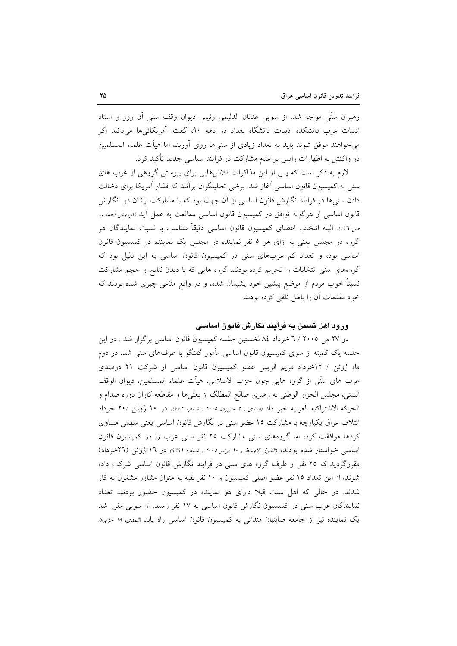رهبران سنَّى مواجه شد. از سويي عدنان الدليمي رئيس ديوان وقف سنى أن روز و استاد ادبیات عرب دانشکده ادبیات دانشگاه بغداد در دهه ۹۰، گفت: آمریکائی۵ما میدانند اگر میخواهند موفق شوند باید به تعداد زیادی از سنیها روی آورند، اما هیأت علماء المسلمین در واکنش به اظهارات رایس بر عدم مشارکت در فرایند سیاسی جدید تأکید کرد.

لازم به ذکر است که پس از این مذاکرات تلاشهایی برای پیوستن گروهی از عرب های سنی به کمیسیون قانون اساسی آغاز شد. برخی تحلیلگران برآنند که فشار آمریکا برای دخالت دادن سنیها در فرایند نگارش قانون اساسی از آن جهت بود که با مشارکت ایشان در نگارش قانون اساسی از هرگونه توافق در کمیسیون قانون اساسی ممانعت به عمل آید (*توروش احمدی،* ص ٢٢٦). البته انتخاب اعضاى كميسيون قانون اساسى دقيقاً متناسب با نسبت نمايندگان هر گروه در مجلس یعنی به ازای هر ٥ نفر نماینده در مجلس یک نماینده در کمیسیون قانون اساسی بود، و تعداد کم عربهای سنی در کمیسیون قانون اساسی به این دلیل بود که گروههای سنی انتخابات را تحریم کرده بودند. گروه هایی که با دیدن نتایج و حجم مشارکت نسبتاً خوب مردم از موضع پیشین خود پشیمان شده، و در واقع مدّعی چیزی شده بودند که خود مقدمات أن را باطل تلقى كرده بودند.

#### ورود اهل تسنن به فرایند نگارش قانون اساسی

در ۲۷ می ۲۰۰۵ / ۲ خرداد ۸٤ نخستین جلسه کمیسیون قانون اساسی برگزار شد . در این جلسه یک کمیته از سوی کمیسیون قانون اساسی مأمور گفتگو با طرفهای سنی شد. در دوم ماه ژوئن / ١٢خرداد مريم الريس عضو كميسيون قانون اساسى از شركت ٢١ درصدى عرب هاي سنِّي از گروه هايي چون حزب الاسلامي، هيأت علماء المسلمين، ديوان الوقف السني، مجلس الحوار الوطني به رهبري صالح المطلگ از بعثيها و مقاطعه كاران دوره صدام و الحركه الاشتراكيه العربيه خبر داد «لمدى , ٢ حريران ٢٠٠٥ , شماره ٤٠٢). در ١٠ ژوئن /٢٠ خرداد ائتلاف عراق یکپارچه با مشارکت ۱۵ عضو سنی در نگارش قانون اساسی یعنی سهمی مساوی کردها موافقت کرد، اما گروههای سنی مشارکت ۲۵ نفر سنی عرب را در کمیسیون قانون اساسی خواستار شده بودند، «لشرق لاوسط , ١٠ يونيو ٢٠٠٥ , شماره (٩٦٩) در ١٦ ژوئن (٢٦خرداد) مقررگردید که ۲۵ نفر از طرف گروه های سنی در فرایند نگارش قانون اساسی شرکت داده شوند، از این تعداد ۱۵ نفر عضو اصلی کمیسیون و ۱۰ نفر بقیه به عنوان مشاور مشغول به کار شدند. در حالی که اهل سنت قبلا دارای دو نماینده در کمیسیون حضور بودند، تعداد نمایندگان عرب سنی در کمیسیون نگارش قانون اساسی به ۱۷ نفر رسید. از سویی مقرر شد يک نماينده نيز از جامعه صابئيان مندائي به كميسيون قانون اساسي راه يابد (لم*دي. ١٨ حزيران*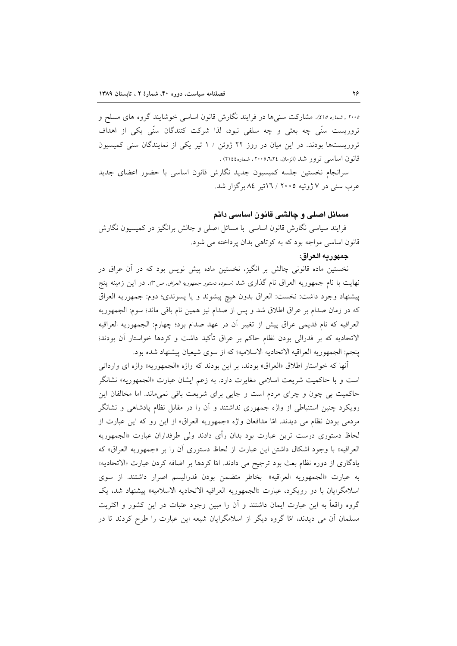۲۰۰۵ , *شماره ۱۵٪.* مشارکت سنبیها در فرایند نگارش قانون اساسی خوشایند گروه های مسلح و تروریست سنّی چه بعثی و چه سلفی نبود، لذا شرکت کنندگان سنّی یکی از اهداف تروریستها بودند. در این میان در روز ۲۲ ژوئن / ۱ تیر یکی از نمایندگان سنی کمیسیون قانون اساسي ترور شد (الزمان، ٦،٢٤،٥٦،٢٠٠، شماره١١٤٤) .

سرانجام نخستین جلسه کمیسیون جدید نگارش قانون اساسی با حضور اعضای جدید عرب سنی در ۷ ژوئیه ۲۰۰۵ / ۱۳تیر ۸٤ برگزار شد.

## مسائل اصلی و چالشی قانون اساسی دائم

فرایند سیاسی نگارش قانون اساسی با مسائل اصلی و چالش برانگیز در کمیسیون نگارش قانون اساسی مواجه بود که به کوتاهی بدان پرداخته می شود.

## جمهوريه العراق:

نخستین ماده قانونی چالش بر انگیز، نخستین ماده پیش نویس بود که در آن عراق در نهایت با نام جمهوریه العراق نام گذاری شد (*مسوده دستور جمهوریه العراق, ص۳).* در این زمینه ینج پیشنهاد وجود داشت: نخست: العراق بدون هیچ پیشوند و یا پسوندی؛ دوم: جمهوریه العراق كه در زمان صدام بر عراق اطلاق شد و پس از صدام نيز همين نام باقي ماند؛ سوم: الجمهوريه العراقيه كه نام قديمي عراق پيش از تغيير أن در عهد صدام بود؛ چهارم: الجمهوريه العراقيه الاتحادیه که بر فدرالی بودن نظام حاکم بر عراق تأکید داشت و کردها خواستار آن بودند؛ ينجم: الجمهوريه العراقيه الاتحاديه الاسلاميه؛ كه از سوى شيعيان پيشنهاد شده بود.

آنها که خواستار اطلاق «العراق» بودند، بر این بودند که واژه «الجمهوریه» واژه ای وارداتی است و با حاکمیت شریعت اسلامی مغایرت دارد. به زعم ایشان عبارت «الجمهوریه» نشانگر حاکمیت بی چون و چرای مردم است و جایی برای شریعت باقی نمی،ماند. اما مخالفان این رویکرد چنین استنباطی از واژه جمهوری نداشتند و آن را در مقابل نظام یادشاهی و نشانگر مردمی بودن نظام می دیدند. امّا مدافعان واژه «جمهوریه العراق» از این رو که این عبارت از لحاظ دستوری درست ترین عبارت بود بدان رأی دادند ول<sub>ی</sub> طرفداران عبارت «الجمهوریه العراقيه» با وجود اشكال داشتن اين عبارت از لحاظ دستوري أن را بر «جمهوريه العراق» كه یادگاری از دوره نظام بعث بود ترجیح می دادند. امّا کردها بر اضافه کردن عبارت «الاتحادیه» به عبارت «الجمهوريه العراقيه» بخاطر متضمن بودن فدراليسم اصرار داشتند. از سوى اسلامگرايان با دو رويكرد، عبارت «الجمهوريه العراقيه الاتحاديه الاسلاميه» پيشنهاد شد، يك گروه واقعاً به این عبارت ایمان داشتند و آن را مبین وجود عتبات در این کشور و اکثریت مسلمان اّن می دیدند، امّا گروه دیگر از اسلامگرایان شیعه این عبارت را طرح کردند تا در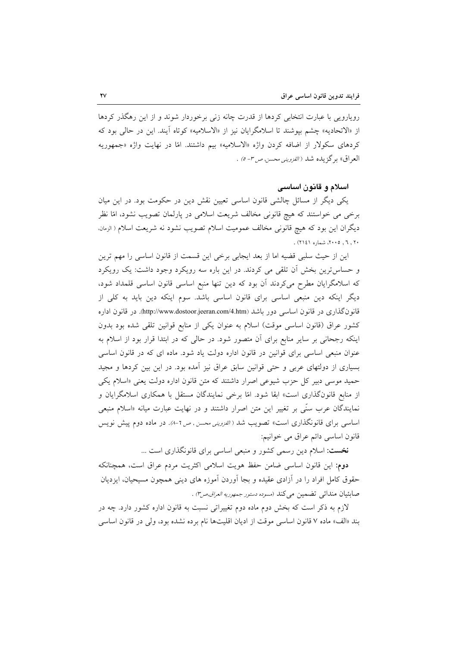رویارویی با عبارت انتخابی کردها از قدرت چانه زنی برخوردار شوند و از این رهگذر کردها از «الاتحاديه» چشم بيوشند تا اسلامگرايان نيز از «الاسلاميه» كوتاه آيند. اين در حالي بود كه کردهای سکولار از اضافه کردن واژه «الاسلامیه» بیم داشتند. امّا در نهایت واژه «جمهوریه العراق» برگزیده شد *(الفزوینی محسن ص<sup>4</sup> ص- ٥)* .

## اسلام و قانون اساسی

یکی دیگر از مسائل چالشی قانون اساسی تعیین نقش دین در حکومت بود. در این میان برخی می خواستند که هیچ قانونی مخالف شریعت اسلامی در پارلمان تصویب نشود، امّا نظر ديگران اين بود كه هيچ قانوني مخالف عموميت اسلام تصويب نشود نه شريعت اسلام ( الزمان. ۲۰, ۲۰٫ ۴۰۰۵، شماره ۲۱٤۱) .

این از حیث سلبی قضیه اما از بعد ایجابی برخی این قسمت از قانون اساسی را مهم ترین و حساس ترین بخش أن تلقی می کردند. در این باره سه رویکرد وجود داشت: یک رویکرد که اسلامگرایان مطرح میکردند آن بود که دین تنها منبع اساسی قانون اساسی قلمداد شود، دیگر اینکه دین منبعی اساسی برای قانون اساسی باشد. سوم اینکه دین باید به کلی از قانون گذاری در قانون اساسی دور باشد (http://www.dostoor.jeeran.com/4.htm). در قانون اداره کشور عراق (قانون اساسی موقت) اسلام به عنوان یکی از منابع قوانین تلقی شده بود بدون اینکه رجحانی بر سایر منابع برای آن متصور شود. در حالی که در ابتدا قرار بود از اسلام به عنوان منبعی اساسی برای قوانین در قانون اداره دولت یاد شود. ماده ای که در قانون اساسی بسیاری از دولتهای عربی و حتی قوانین سابق عراق نیز آمده بود. در این بین کردها و مجید حمید موسی دبیر کل حزب شیوعی اصرار داشتند که متن قانون اداره دولت یعنی «اسلام یکی از منابع قانونگذاری است» ابقا شود. امّا برخی نمایندگان مستقل با همکاری اسلامگرایان و نمایندگان عرب سنّی بر تغییر این متن اصرار داشتند و در نهایت عبارت میانه «اسلام منبعی اساسی برای قانونگذاری است» تصویب شد ( *القزوینی محسن , ص ٦-٨).* در ماده دوم پیش نویس قانون اساسی دائم عراق می خوانیم:

نخست: اسلام دین رسمی کشور و منبعی اساسی برای قانونگذاری است ...

دوم: این قانون اساسی ضامن حفظ هویت اسلامی اکثریت مردم عراق است، همچنانکه حقوق کامل افراد را در آزادی عقیده و بجا اَوردن اَموزه های دینی همچون مسیحیان، ایزدیان صابئيان مندائي تضمين مي كند (مسوده دستور جمهوريه العراق ص٣) .

لازم به ذکر است که بخش دوم ماده دوم تغییراتی نسبت به قانون اداره کشور دارد. چه در بند «الف» ماده ۷ قانون اساسی موقت از ادیان اقلیتها نام برده نشده بود، ولی در قانون اساسی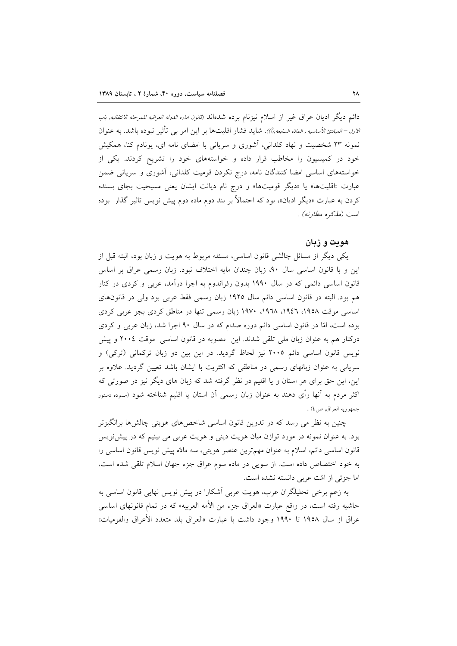دائم ديگر اديان عراق غير از اسلام نيزنام برده شدهاند (*قانون اداره الدوله العراقيه للمرحله الانتقاليه, باب الاول –المبادئ الأساسيه ,المادّه السابعه,(أ))*. شايد فشار اقليتها بر اين امر بـي تأثير نبوده باشد. به عنوان نمونه ٢٣ شخصیت و نهاد کلدانی، آشوری و سریانی با امضای نامه ای، یونادم کنا، همکیش خود در کمیسیون را مخاطب قرار داده و خواستههای خود را تشریح کردند. یکی از خواستههای اساسی امضا کنندگان نامه، درج نکردن قومیت کلدانی، آشوری و سریانی ضمن عبارت «اقلیتها» یا «دیگر قومیتها» و درج نام دیانت ایشان یعنی مسیحیت بجای بسنده کردن به عبارت «دیگر ادیان»، بود که احتمالاً بر بند دوم ماده دوم پیش نویس تاثیر گذار بوده است *(مذكره مطارنه) .* 

## هويت و زيان

یکی دیگر از مسائل چالشی قانون اساسی، مسئله مربوط به هویت و زبان بود، البته قبل از این و با قانون اساسی سال ۹۰، زبان چندان مایه اختلاف نبود. زبان رسمی عراق بر اساس قانون اساسی دائمی که در سال ۱۹۹۰ بدون رفراندوم به اجرا درآمد، عربی و کردی در کنار هم بود. البته در قانون اساسی دائم سال ۱۹۲۵ زبان رسمی فقط عربی بود ولی در قانونهای اساسی موقت ۱۹۵۸، ۱۹۶۲، ۱۹۲۸، ۱۹۷۰ زبان رسمی تنها در مناطق کردی بجز عربی کردی بوده است، امّا در قانون اساسی دائم دوره صدام که در سال ۹۰ اجرا شد، زبان عربی و کردی درکنار هم به عنوان زبان ملی تلقی شدند. این مصوبه در قانون اساسی موقت ٢٠٠٤ و پیش نویس قانون اساسی دائم ۲۰۰۵ نیز لحاظ گردید. در این بین دو زبان ترکمانی (ترکی) و سریانی به عنوان زبانهای رسمی در مناطقی که اکثریت با ایشان باشد تعیین گردید. علاوه بر این، این حق برای هر استان و یا اقلیم در نظر گرفته شد که زبان های دیگر نیز در صورتی که اکثر مردم به آنها رأی دهند به عنوان زبان رسمی آن استان یا اقلیم شناخته شود (مسوده دستور جمهوريه العراق, ص٤) .

چنین به نظر می رسد که در تدوین قانون اساسی شاخصهای هویتی چالشها برانگیزتر بود. به عنوان نمونه در مورد توازن میان هویت دینی و هویت عربی می بینیم که در پیش نویس قانون اساسی دائم، اسلام به عنوان مهمترین عنصر هویتی، سه مادّه پیش نویس قانون اساسی را به خود اختصاص داده است. از سویی در ماده سوم عراق جزء جهان اسلام تلقی شده است، اما جزئي از امّت عربي دانسته نشده است.

به زعم برخی تحلیلگران عرب، هویت عربی اَشکارا در پیش نویس نهایی قانون اساسی به حاشیه رفته است، در واقع عبارت «العراق جزء من الأمه العربیه» که در تمام قانونهای اساس<sub>ی</sub> عراق از سال ۱۹۵۸ تا ۱۹۹۰ وجود داشت با عبارت «العراق بلد متعدد الأعراق والقوميات»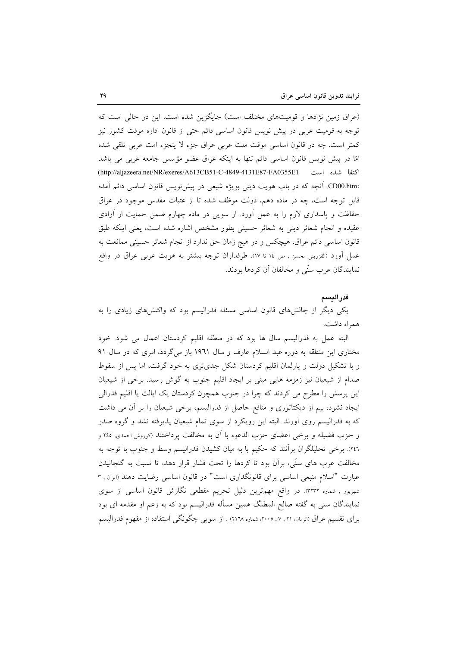(عراق زمین نژادها و قومیتهای مختلف است) جایگزین شده است. این در حالی است که توجه به قومیت عربی در پیش نویس قانون اساسی دائم حتی از قانون اداره موقت کشور نیز کمتر است. چه در قانون اساسی موقت ملت عربی عراق جزء لا یتجزء امت عربی تلقی شده امًا در پیش نویس قانون اساسی دائم تنها به اینکه عراق عضو مؤسس جامعه عربی می باشد (CD00.htm. آنچه که در باب هویت دینی بویژه شیعی در پیش نویس قانون اساسی دائم آمده قابل توجه است، چه در ماده دهم، دولت موظف شده تا از عتبات مقدس موجود در عراق حفاظت و پاسداری لازم را به عمل آورد. از سویی در ماده چهارم ضمن حمایت از آزادی عقیده و انجام شعائر دینی به شعائر حسینی بطور مشخص اشاره شده است، یعنی اینکه طبق قانون اساسی دائم عراق، هیچکس و در هیچ زمان حق ندارد از انجام شعائر حسینی ممانعت به عمل أورد (القزويني محسن , ص ١٤ تا ١٧). طرفداران توجه بيشتر به هويت عربي عراق در واقع نمايندگان عرب سنّي و مخالفان آن كردها بودند.

#### فدراليسم

یکی دیگر از چالشهای قانون اساسی مسئله فدرالیسم بود که واکنشهای زیادی را به هم اه داشت.

البته عمل به فدرالیسم سال ها بود که در منطقه اقلیم کردستان اعمال می شود. خود مختاری این منطقه به دوره عبد السلام عارف و سال ۱۹۶۱ باز میگردد، امری که در سال ۹۱ و با تشکیل دولت و پارلمان اقلیم کردستان شکل جدیتری به خود گرفت، اما پس از سقوط صدام از شیعیان نیز زمزمه هایی مبنی بر ایجاد اقلیم جنوب به گوش رسید. برخی از شیعیان این پرسش را مطرح می کردند که چرا در جنوب همچون کردستان یک ایالت یا اقلیم فدرالی ایجاد نشود، بیم از دیکتاتوری و منافع حاصل از فدرالیسم، برخی شیعیان را بر آن می داشت که به فدرالیسم روی آورند. البته این رویکرد از سوی تمام شیعیان پذیرفته نشد و گروه صدر و حزب فضيله و برخي اعضاي حزب الدعوه با أن به مخالفت يرداختند (كوروش احمدي, ٢٤٥ و ٢٤٦). برخي تحليلگران برآنند كه حكيم با به ميان كشيدن فدراليسم وسط و جنوب با توجه به مخالفت عرب های سنّی، برأن بود تا کردها را تحت فشار قرار دهد، تا نسبت به گنجانیدن عبارت "اسلام منبعی اساسی برای قانونگذاری است" در قانون اساسی رضایت دهند «بران , ۳ شهریور , شماره ٣٢٣٢). در واقع مهمترین دلیل تحریم مقطعی نگارش قانون اساسی از سوی نمایندگان سنی به گفته صالح المطلگ همین مسأله فدرالیسم بود که به زعم او مقدمه ای بود براي تقسيم عراق (الزمان، ٢٠, ٢٠٠٥، ٣٠٠، شماره ٢١٦٨) . از سويبي چگونگي استفاده از مفهوم فدراليسم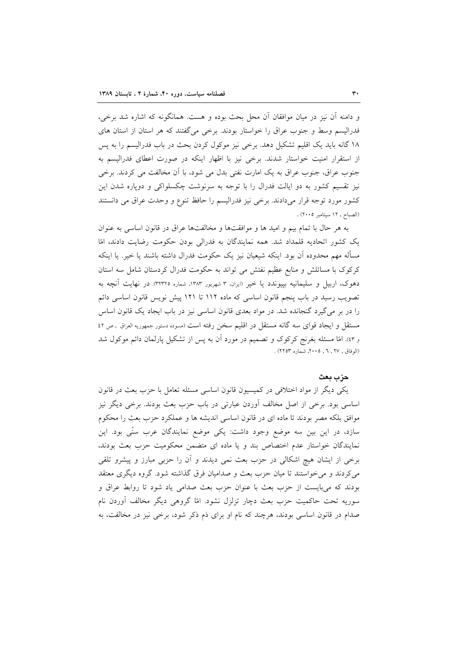و دامنه أن نيز در ميان موافقان أن محل بحث بوده و هست. همانگونه كه اشاره شد برخي، فدرالیسم وسط و جنوب عراق را خواستار بودند. برخی می گفتند که هر استان از استان های ۱۸ گانه باید یک اقلیم تشکیل دهد. برخی نیز موکول کردن بحث در باب فدرالیسم را به پس از استقرار امنیت خواستار شدند. برخی نیز با اظهار اینکه در صورت اعطای فدرالیسم به جنوب عراق، جنوب عراق به یک امارت نفتی بدل می شود، با اَن مخالفت می کردند. برخی نیز تقسیم کشور به دو ایالت فدرال را با توجه به سرنوشت چکسلواکی و دوپاره شدن این كشور مورد توجه قرار مىدادند. برخى نيز فدراليسم را حافظ تنوع و وحدت عراق مى دانستند (الصباح, ١٢ سپتامبر ٢٠٠٥) .

به هر حال با تمام بيم و اميد ها و موافقتها و مخالفتها عراق در قانون اساسي به عنوان یک کشور اتحادیه قلمداد شد. همه نمایندگان به فدرالی بودن حکومت رضایت دادند، امّا مسأله مهم محدوده اّن بود. اینکه شیعیان نیز یک حکومت فدرال داشته باشند یا خیر. یا اینکه کرکوک با مسائلش و منابع عظیم نفتش می تواند به حکومت فدرال کردستان شامل سه استان دهوک، اربیل و سلیمانیه بپیوندد یا خیر (ایران، ۳ شهریور ۱۳۸۳, شماره ۳۲۳۲۵). در نهایت آنچه به تصویب رسید در باب پنجم قانون اساسی که ماده ۱۱۲ تا ۱۲۱ پیش نویس قانون اساسی دائم را در بر می گیرد گنجانده شد. در مواد بعدی قانون اساسی نیز در باب ایجاد یک قانون اساس مستقل و ایجاد قوای سه گانه مستقل در اقلیم سخن رفته است (مسوده دستور جمهوریه العراق , ص ٤٢ و ٤٣). امّا مسئله بغرنج كركوك و تصميم در مورد أن به پس از تشكيل پارلمان دائم موكول شد (الوفاق , ۲۷ , ۲ , ۲۰۰۵, شماره ۲۲۵۳) .

#### حزب معث

یکی دیگر از مواد اختلافی در کمیسیون قانون اساسی مسئله تعامل با حزب بعث در قانون اساسی بود. برخی از اصل مخالف اّوردن عبارتی در باب حزب بعث بودند. برخی دیگر نیز موافق بلکه مصر بودند تا ماده ای در قانون اساسی اندیشه ها و عملکرد حزب بعث را محکوم سازد، در این بین سه موضع وجود داشت: یکی موضع نمایندگان عرب سنّی بود. این نمایندگان خواستار عدم اختصاص بند و یا ماده ای متضمن محکومیت حزب بعث بودند، برخی از ایشان هیچ اشکالی در حزب بعث نمی دیدند و آن را حزبی مبارز و پیشرو تلقی می کردند و می خواستند تا میان حزب بعث و صدامیان فرق گذاشته شود. گروه دیگری معتقد بودند که میبایست از حزب بعث با عنوان حزب بعث صدامی یاد شود تا روابط عراق و سوریه تحت حاکمیت حزب بعث دچار تزلزل نشود. امّا گروهی دیگر مخالف آوردن نام صدام در قانون اساسی بودند، هرچند که نام او برای ذم ذکر شود، برخی نیز در مخالفت، به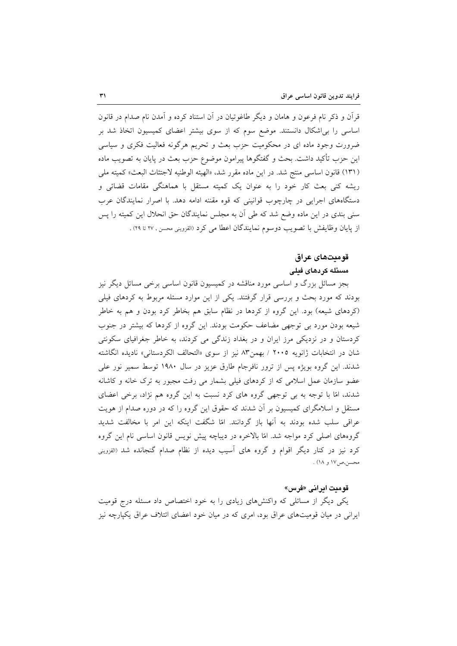قرآن و ذکر نام فرعون و هامان و دیگر طاغوتیان در آن استناد کرده و آمدن نام صدام در قانون اساسی را بی اشکال دانستند. موضع سوم که از سوی بیشتر اعضای کمیسیون اتخاذ شد بر ضرورت وجود ماده ای در محکومیت حزب بعث و تحریم هرگونه فعالیت فکری و سیاسی این حزب تأکید داشت. بحث و گفتگوها پیرامون موضوع حزب بعث در پایان به تصویب ماده (١٣١) قانون اساسي منتج شد. در اين ماده مقرر شد، «الهيئه الوطنيه لاجتثاث البعث» كميته ملي ریشه کنی بعث کار خود را به عنوان یک کمیته مستقل با هماهنگی مقامات قضائی و دستگاههای اجرایی در چارچوب قوانینی که قوه مقننه ادامه دهد. با اصرار نمایندگان عرب سنی بندی در این ماده وضع شد که طی آن به مجلس نمایندگان حق انحلال این کمیته را پس از پایان وظایفش با تصویب دوسوم نمایندگان اعطا می کرد (القزوینی محسن , ۲۷ تا ۲۹) .

## قومىتھاى عراق

## مسئله كردهاى فيلى

بجز مسائل بزرگ و اساسی مورد مناقشه در کمیسیون قانون اساسی برخی مسائل دیگر نیز بودند که مورد بحث و بررسی قرار گرفتند. یکی از این موارد مسئله مربوط به کردهای فیلی (کردهای شیعه) بود. این گروه از کردها در نظام سابق هم بخاطر کرد بودن و هم به خاطر شیعه بودن مورد بی توجهی مضاعف حکومت بودند. این گروه از کردها که بیشتر در جنوب کردستان و در نزدیکی مرز ایران و در بغداد زندگی می کردند، به خاطر جغرافیای سکونتی شان در انتخابات ژانویه ۲۰۰۵ / بهمن۸۳ نیز از سوی «التحالف الکردستانی» نادیده انگاشته شدند. این گروه بویژه پس از ترور نافرجام طارق عزیز در سال ۱۹۸۰ توسط سمیر نور علی عضو سازمان عمل اسلامی که از کردهای فیلی بشمار می رفت مجبور به ترک خانه و کاشانه شدند، امّا با توجه به بی توجهی گروه های کرد نسبت به این گروه هم نژاد، برخی اعضای مستقل و اسلامگرای کمیسیون بر آن شدند که حقوق این گروه را که در دوره صدام از هویت عراقی سلب شده بودند به آنها باز گردانند. امّا شگفت اینکه این امر با مخالفت شدید گروههای اصلی کرد مواجه شد. امّا بالاخره در دیباچه پیش نویس قانون اساسی نام این گروه کرد نیز در کنار دیگر اقوام و گروه های آسیب دیده از نظام صدام گنجانده شد (القزوینی محسن,ص۱۷ و ۱۸) .

#### قومیت ایرانی «فرس»

یکی دیگر از مسائلی که واکنشهای زیادی را به خود اختصاص داد مسئله درج قومیت ایرانی در میان قومیتهای عراق بود، امری که در میان خود اعضای ائتلاف عراق یکپارچه نیز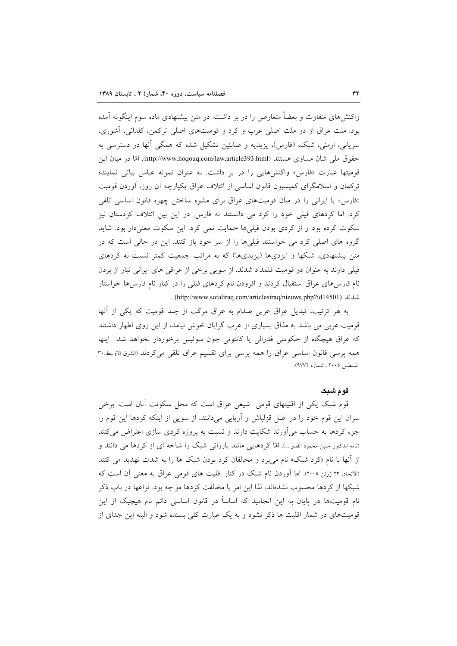واکنشهای متفاوت و بعضاً متعارض را در بر داشت. در متن پیشنهادی ماده سوم اینگونه آمده بود: ملت عراق از دو ملت اصلی عرب و کرد و قومیتهای اصلی ترکمن، کلدانی، آشوری، سریانی، ارمنی، شبک، (فارس)، یزیدیه و صابئین تشکیل شده که همگی آنها در دسترسی به حقوق ملم شان مساوى هستند (http://www.hoqouq.com/law,article393.html). امّا در ميان اين قومیتها عبارت «فارس» واکنشهایی را در بر داشت. به عنوان نمونه عباس بیاتی نماینده ترکمان و اسلامگرای کمیسیون قانون اساسی از ائتلاف عراق یکپارچه آن روز، آوردن قومیت «فارس» یا ایرانی را در میان قومیتهای عراق برای مشوه ساختن چهره قانون اساسی تلقی کرد. اما کردهای فیلی خود را کرد می دانستند نه فارس. در این بین ائتلاف کردستان نیز سکوت کرده بود و از کردی بودن فیلیها حمایت نمی کرد. این سکوت معنیدار بود. شاید گروه های اصلی کرد می خواستند فیلیها را از سر خود باز کنند. این در حالی است که در متن پیشنهادی، شبکها و ایزدیها (یزیدیها) که به مراتب جمعیت کمتر نسبت به کردهای فیلی دارند به عنوان دو قومیت قلمداد شدند. از سویی برخی از عراقبی های ایرانی تبار از بردن نام فارس های عراق استقبال کردند و افزودن نام کردهای فیلی را در کنار نام فارس ها خواستار . (http://www.sotaliraq.com/articlesiraq/nieuws.php?id14501) .

به هر ترتیب، تبدیل عراق عربی صدام به عراق مرکب از چند قومیت که یکی از أنها قومیت عربی می باشد به مذاق بسیاری از عرب گرایان خوش نیامد، از این روی اظهار داشتند که عراق هیچگاه از حکومتی فدرالی یا کانتونی چون سوئیس برخوردار نخواهد شد. اینها همه پرسی قانون اساسی عراق را همه پرسی برای تقسیم عراق تلقی می کردند (الشرق الاوسط,۳۰ اغسطس ٢٠٠٥ , شماره ٩٧٧٢).

#### قوم شىك

قوم شبک یکی از اقلیتهای قومی شیعی عراق است که محل سکونت آنان است. برخی سران این قوم خود را در اصل قزلباش و آریایی میدانند، از سویی از اینکه کردها این قوم را جزء کردها به حساب می آورند شکایت دارند و نسبت به پروژه کردی سازی اعتراض می کنند (نامه الدكتور حنين محمود القدو ...). امّا كردهايي مانند بارزاني شبك را شاخه اي از كردها مي دانند و از آنها با نام «کرد شبک» نام می برد و مخالفان کرد بودن شبک ها را به شدت تهدید می کنند (الاتحاد, ٢٣ ژوئن ٢٠٠٥). اما آوردن نام شبک در کنار اقلیت های قومی عراق به معنی آن است که شبکها از کردها محسوب نشدهاند، لذا این امر با مخالفت کردها مواجه بود. نزاعها در باب ذکر نام قومیتها در پایان به این انجامید که اساساً در قانون اساسی دائم نام هیچیک از این قومیتهای در شمار اقلیت ها ذکر نشود و به یک عبارت کلی بسنده شود و البته این جدای از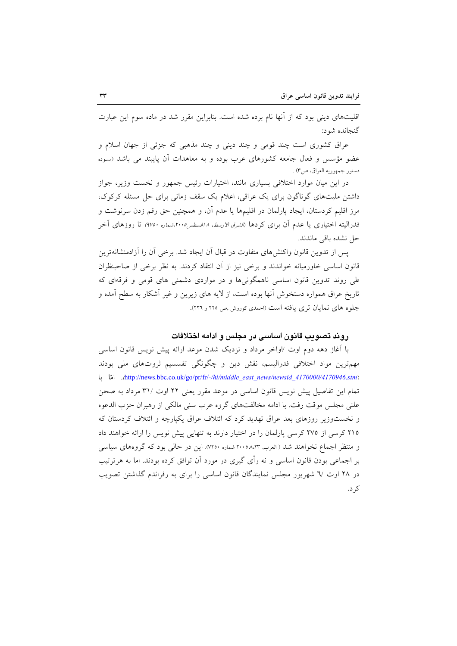اقلیتهای دینی بود که از آنها نام برده شده است. بنابراین مقرر شد در ماده سوم این عبارت گنجانده شود:

عراق کشوری است چند قومی و چند دینی و چند مذهبی که جزئی از جهان اسلام و عضو مؤسس و فعال جامعه کشورهای عرب بوده و به معاهدات آن پایبند می باشد (مسوده دستور جمهوريه العراق، ص٣) .

در این میان موارد اختلافی بسیاری مانند، اختیارات رئیس جمهور و نخست وزیر، جواز داشتن ملیتهای گوناگون برای یک عراقی، اعلام یک سقف زمانی برای حل مسئله کرکوک، مرز اقلیم کردستان، ایجاد پارلمان در اقلیمها یا عدم آن، و همچنین حق رقم زدن سرنوشت و فدرالیته اختیاری یا عدم آن برای کردها *(الشرق الاوسط، ۸ اغسطس۲۰۰۵،شماره ۹۷۵۰)* تا روزهای آخر حل نشده باقی ماندند.

یس از تدوین قانون واکنشهای متفاوت در قبال آن ایجاد شد. برخی آن را آزادمنشانهترین قانون اساسی خاورمیانه خواندند و برخی نیز از آن انتقاد کردند. به نظر برخی از صاحبنظران طی روند تدوین قانون اساسی ناهمگونیها و در مواردی دشمنی های قومی و فرقهای که تاریخ عراق همواره دستخوش آنها بوده است، از لایه های زیرین و غیر آشکار به سطح آمده و جلوه های نمایان تری یافته است (احمدی کوروش ,ص ٢٢٥ و ٢٢٦).

## روند تصويب قانون اساسى در مجلس و ادامه اختلافات

با آغاز دهه دوم اوت /اواخر مرداد و نزدیک شدن موعد ارائه پیش نویس قانون اساسی مهمترین مواد اختلافی فدرالیسم، نقش دین و چگونگی تقسسیم ثروتهای ملی بودند http://news.bbc.co.uk/go/pr/fr/-/hi/middle\_east\_news/newsid\_4170000/4170946.stm). امّا با تمام این تفاصیل پیش نویس قانون اساسی در موعد مقرر یعنی ۲۲ اوت /۳۱ مرداد به صحن علني مجلس موقت رفت. با ادامه مخالفتهاي گروه عرب سني مالکي از رهبران حزب الدعوه و نخست وزیر روزهای بعد عراق تهدید کرد که ائتلاف عراق یکپارچه و ائتلاف کردستان که ٢١٥ كرسي از ٢٧٥ كرسي يارلمان را در اختيار دارند به تنهايي پيش نويس را ارائه خواهند داد و منتظر اجماع نخواهند شد ( العرب, ٢٠٠٥٨،٢٣ شماره ٧٢٥٠). اين در حالي بود كه گروههاي سياسي بر اجماعی بودن قانون اساسی و نه رأی گیری در مورد اَن توافق کرده بودند. اما به هرترتیب در ۲۸ اوت /۲ شهریور مجلس نمایندگان قانون اساسی را برای به رفراندم گذاشتن تصویب کر د.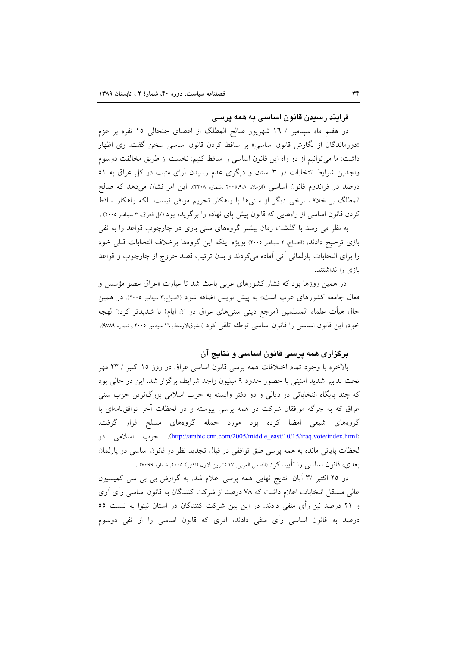فرایند رسیدن قانون اساسی به همه پرسی

در هفتم ماه سپتامبر / ١٦ شهريور صالح المطلگ از اعضاى جنجالي ١٥ نفره بر عزم «دورماندگان از نگارش قانون اساسی» بر ساقط کردن قانون اساسی سخن گفت. وی اظهار داشت: ما میتوانیم از دو راه این قانون اساسی را ساقط کنیم: نخست از طریق مخالفت دوسوم واجدین شرایط انتخابات در ۳ استان و دیگری عدم رسیدن آرای مثبت در کل عراق به ٥١ درصد در فراندوم قانون اساسی (الزمان, ۲۰۰۵٬۹۸ ,شماره ۲۲۰۸). این امر نشان میدهد که صالح المطلَّک بر خلاف برخی دیگر از سنیها با راهکار تحریم موافق نیست بلکه راهکار ساقط کردن قانون اساسی از راههایی که قانون پیش پای نهاده را برگزیده بود (کل العراق ۳سپتامبر ۲۰۰۵) .

به نظر می رسد با گذشت زمان بیشتر گروههای سنی بازی در چارچوب قواعد را به نفی بازی ترجیح دادند، «الصباح, ۲ سپتامبر ۲۰۰۵) بویژه اینکه این گروهها برخلاف انتخابات قبلی خود را برای انتخابات پارلمانی آتی آماده میکردند و بدن ترتیب قصد خروج از چارچوب و قواعد بازی را نداشتند.

در همین روزها بود که فشار کشورهای عربی باعث شد تا عبارت «عراق عضو مؤسس و فعال جامعه کشورهای عرب است» به پیش نویس اضافه شود (الصباح,۳سپتامبر ۲۰۰۵). در همین حال هیأت علماء المسلمین (مرجع دینی سنیهای عراق در آن ایام) با شدیدتر کردن لهجه خود، این قانون اساسی را قانون اساسی توطئه تلقی کرد (الشرقالاوسط, ١٦ سپتامبر ٢٠٠٥ , شماره ٩٧٨٩).

## برگزاری همه پرسی قانون اساسی و نتایج آن

بالاخره با وجود تمام اختلافات همه پرسی قانون اساسی عراق در روز ١٥ اکتبر / ٢٣ مهر تحت تدابیر شدید امنیتی با حضور حدود ۹ میلیون واجد شرایط، برگزار شد. این در حالی بود که چند پایگاه انتخاباتی در دیالی و دو دفتر وابسته به حزب اسلامی بزرگترین حزب سنی عراق که به جرگه موافقان شرکت در همه پرسی پیوسته و در لحظات آخر توافق نامهای با گروههای شیعی امضا کرده بود مورد حمله گروههای مسلح قرار گرفت. (http://arabic.cnn.com/2005/middle\_east/10/15/iraq.vote/index.html). حزب اسلامی در لحظات پایانی مانده به همه پرسی طبق توافقی در قبال تجدید نظر در قانون اساسی در پارلمان بعدي، قانون اساسي را تأييد كرد (القدس العربي, ١٧ تشرين الاول (اكتبر) ٢٠٠٥, شماره ٧٠٩٩) .

در ۲۵ اکتبر ۳٫ اَبان نتایج نهایی همه پرسی اعلام شد. به گزارش بی بی سی کمیسیون عالم مستقل انتخابات اعلام داشت که ۷۸ درصد از شرکت کنندگان به قانون اساسی رأی آری و ۲۱ درصد نیز رأی منفی دادند. در این بین شرکت کنندگان در استان نینوا به نسبت ٥٥ درصد به قانون اساسی رأی منفی دادند، امری که قانون اساسی را از نفی دوسوم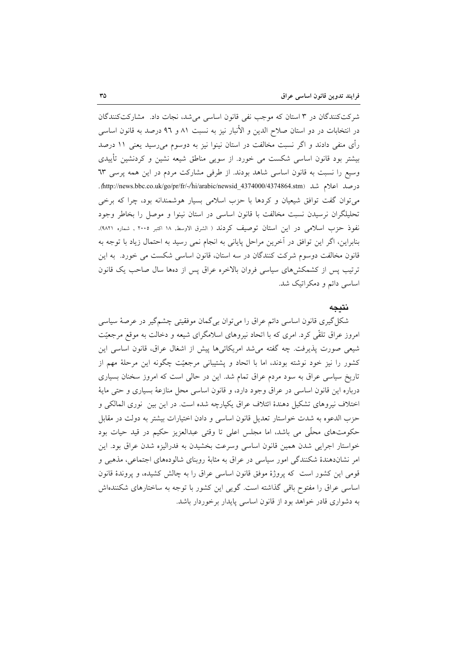شرکتکنندگان در ۳ استان که موجب نفی قانون اساسی می شد، نجات داد. مشارکتکنندگان در انتخابات در دو استان صلاح الدين و الأنبار نيز به نسبت ٨١ و ٩٦ درصد به قانون اساسى رأی منفی دادند و اگر نسبت مخالفت در استان نینوا نیز به دوسوم میرسید یعنی ۱۱ درصد بیشتر بود قانون اساسی شکست می خورد. از سویی مناطق شیعه نشین و کردنشین تأییدی وسیع را نسبت به قانون اساسی شاهد بودند. از طرفی مشارکت مردم در این همه پرسی ٦٣ درصد اعلام شد (http://news.bbc.co.uk/go/pr/fr/-/hi/arabic/newsid\_4374000/4374864.stm. می توان گفت توافق شیعیان و کردها با حزب اسلامی بسیار هوشمندانه بود، چرا که برخی تحلیلگران نرسیدن نسبت مخالفت با قانون اساسی در استان نینوا و موصل را بخاطر وجود نفوذ حزب اسلامی در این استان توصیف کردند ( الشرق الاوسط, ۱۸ اکتبر ۲۰۰۵ , شماره ۹۸۲۱). بنابراین، اگر این توافق در آخرین مراحل پایانی به انجام نمی رسید به احتمال زیاد با توجه به قانون مخالفت دوسوم شرکت کنندگان در سه استان، قانون اساسی شکست می خورد. به این ترتیب پس از کشمکشهای سیاسی فروان بالاخره عراق پس از دهها سال صاحب یک قانون اساسی دائم و دمکر اتیک شد.

#### نتىحە

شکل گیری قانون اساسی دائم عراق را میٍتوان بی گمان موفقیتی چشم گیر در عرصهٔ سیاسی امروز عراق تلقّی کرد. امری که با اتحاد نیروهای اسلامگرای شیعه و دخالت به موقع مرجعیّت شیعی صورت پذیرفت. چه گفته می شد امریکائیها پیش از اشغال عراق، قانون اساسی این کشور را نیز خود نوشته بودند، اما با اتحاد و پشتیبانی مرجعیّت چگونه این مرحلهٔ مهم از تاریخ سیاسی عراق به سود مردم عراق تمام شد. این در حالی است که امروز سخنان بسیاری درباره اين قانون اساسي در عراق وجود دارد، و قانون اساسي محل منازعهٔ بسياري و حتى مايهٔ اختلاف نیروهای تشکیل دهندهٔ ائتلاف عراق یکپارچه شده است. در این بین نوری المالکی و حزب الدعوه به شدت خواستار تعدیل قانون اساسی و دادن اختیارات بیشتر به دولت در مقابل حکومتهای محلّی می باشد، اما مجلس اعلی تا وقتی عبدالعزیز حکیم در قید حیات بود خواستار اجرایی شدن همین قانون اساسی وسرعت بخشیدن به فدرالیزه شدن عراق بود. این امر نشاندهندهٔ شکنندگی امور سیاسی در عراق به مثابهٔ روبنای شالودههای اجتماعی، مذهبی و قومی این کشور است که پروژهٔ موفق قانون اساسی عراق را به چالش کشیده، و پروندهٔ قانون اساسی عراق را مفتوح باقی گذاشته است. گویی این کشور با توجه به ساختارهای شکنندهاش به دشواری قادر خواهد بود از قانون اساسی پایدار برخوردار باشد.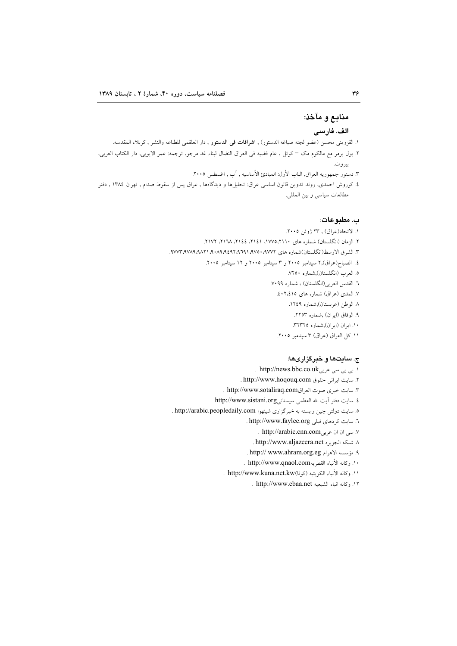# منابع و مآخذ:

## الف. فارسے

- ١. القزويني محسن (عضو لجنه صياغه الدستور) , **اشراقات في الدستور** , دار العلقمي للطباعه والنشر , كربلاء المقدسه.
- ٢. بول برمر مع مالكوم مك كوئل , عام قضيه في العراق النضال لبناء غد مرجو, ترجمه: عمر الايوبي, دار الكتاب العربي, بيروت.
	- ٣. دستور جمهوريه العراق, الباب الأول: المبادئ الأساسيه , آب , اغسطس ٢٠٠٥.
- ٤. كوروش احمدى, روند تدوين قانون اساسى عراق: تحليل۱ها و ديدگاهها , عراق پس از سقوط صدام , تهران ١٣٨٤ , دفتر مطالعات سياسي و بين المللي.

### ب. مطبوعات:

١. الاتحاد(عراق) , ٢٣ ژوئن ٢٠٠٥. ۲. الزمان (انگلستان) شماره های ۱۱۱۰،۱۷۷۵، ۱٤۱۲، ۱۴۶، ۱۲۸، ۱۲۱۲، ۱۷۲. ٣. الشرق الاوسط(انگلستان)شماره های ٩٧٧٢. ٩٧٥٠، ٩٩٩١، ٩٨٢١، ٩٨٢١، ٩٨٧٣، ٩٧٧٣. ٤. الصباح(عراق),٢ سپتامبر ٢٠٠٥ و ٣ سپتامبر ٢٠٠٥ و ١٢ سپتامبر ٢٠٠٥. ٥. العرب (انگلستان),شماره ٧٢٥٠. ٦. القدس العربي(انگلستان) ، شماره ٧٠٩٩. ٧. المدى (عراق) شماره هاى ١٥٪٢٠٤. ۸ الوطن (عربستان),شماره ۱۲٤۹. ٩. الوفاق (ايران) ,شماره ٢٢٥٣. ١٠. ايران (ايران),شماره ٣٢٣٢٥. ۱۱. كل العراق (عراق) ۳ سپتامبر ۲۰۰۵.

## ج. سایتها و خبرگزاریها:

- ۱. بی بی سی عربی http://news.bbc.co.uk . ٢. سايت ايراني حقوق http://www.hoqouq.com . ٣. سايت خبرى صوت العراقhttp://www.sotaliraq.com ٤. سايت دفتر آيت الله العظمى سيستانيhttp://www.sistani.org . ٥. سايت دولتي چين وابسته به خبرگزاري شينهوا http://arabic.peopledaily.com . ٦. سايت كردهاي فيلي http://www.faylee.org . y. سی ان ان عربیhttp://arabic.cnn.com . ٨. شبكه الجزير ه http://www.aljazeera.net . ٩. مؤسسه الاهرام http:// www.ahram.org.eg . ١٠. وكاله الأنباء القطر به http://www.qnaol.com . ١١. وكاله الأنباء الكويتيه (كونا)http://www.kuna.net.kw .
	- ١٢. وكاله انباء الشيعيه http://www.ebaa.net .